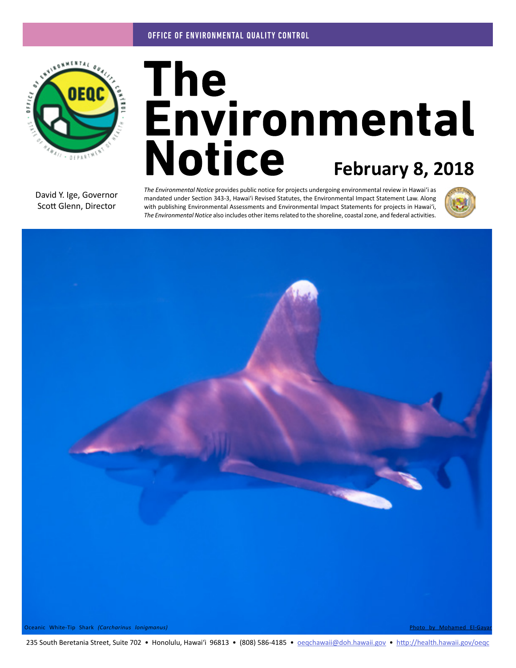

# The<br>Environmental **Notice February 8, 2018**

David Y. Ige, Governor Scott Glenn, Director

*The Environmental Notice* provides public notice for projects undergoing environmental review in Hawaiʻi as mandated under Section 343-3, Hawaiʻi Revised Statutes, the Environmental Impact Statement Law. Along with publishing Environmental Assessments and Environmental Impact Statements for projects in Hawaiʻi, *The Environmental Notice* also includes other items related to the shoreline, coastal zone, and federal activities.





Oceanic White-Tip Shark *(Carcharinus lonigmanus)* [Photo by Mohamed El-Gayar](https://www.flickr.com/photos/mgayar/8118376716/in/photolist-wMCALx-d9LUNA-dnoNym-d9LUL1-sbwRB-d9LUEy-dFTZSa-dFTYk4-dFZhd7-dFZhNh-dFZkPL-dFTX4g-d9LUHJ-d9LUG9-d9LUst-5GFQ2y-d9LUPo-d9LUN9-d9LULm-5GBxi2-sgrEM-7QqK1E-wuD4gM-wM8t2M-WZ6vs9-VLFjXN-WZpzW3)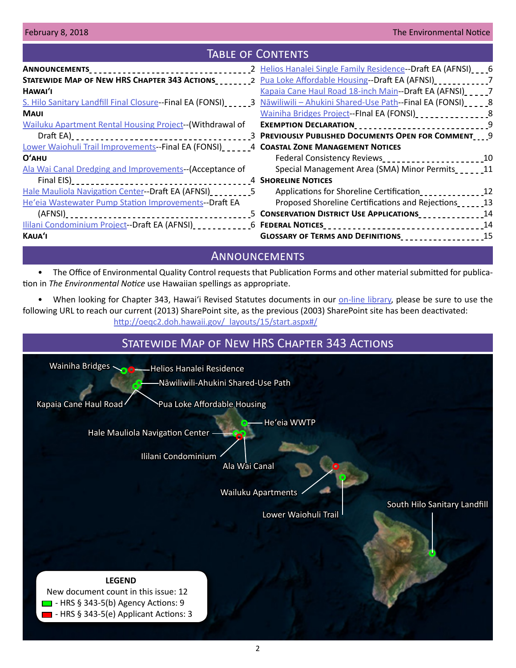## Table of Contents

|                                                                                                                                  | 2 Helios Hanalei Single Family Residence--Draft EA (AFNSI) __ _6 |  |
|----------------------------------------------------------------------------------------------------------------------------------|------------------------------------------------------------------|--|
| STATEWIDE MAP OF NEW HRS CHAPTER 343 ACTIONS____________2 Pua Loke Affordable Housing--Draft EA (AFNSI)_______________7          |                                                                  |  |
| HAWAI'I                                                                                                                          | Kapaia Cane Haul Road 18-inch Main--Draft EA (AFNSI) _ _ _ _ 7   |  |
| S. Hilo Sanitary Landfill Final Closure--Final EA (FONSI) ______3 Nawiliwili - Ahukini Shared-Use Path--Final EA (FONSI) ______8 |                                                                  |  |
| <b>MAUI</b>                                                                                                                      | Wainiha Bridges Project--FInal EA (FONSI)                        |  |
| Wailuku Apartment Rental Housing Project-- (Withdrawal of                                                                        | EXEMPTION DECLARATION___________________________________9        |  |
|                                                                                                                                  |                                                                  |  |
| Lower Waiohuli Trail Improvements--Final EA (FONSI) ______4 COASTAL ZONE MANAGEMENT NOTICES                                      |                                                                  |  |
| $O'$ AHU                                                                                                                         |                                                                  |  |
| Ala Wai Canal Dredging and Improvements-(Acceptance of                                                                           | Special Management Area (SMA) Minor Permits                      |  |
|                                                                                                                                  |                                                                  |  |
| Hale Mauliola Navigation Center--Draft EA (AFNSI) ________5                                                                      | Applications for Shoreline Certification__________________12     |  |
| He'eia Wastewater Pump Station Improvements--Draft EA                                                                            | Proposed Shoreline Certifications and Rejections                 |  |
|                                                                                                                                  |                                                                  |  |
| Ililani Condominium Project--Draft EA (AFNSI)______________6 FEDERAL NOTICES________________________________14                   |                                                                  |  |
| KAUA'I                                                                                                                           | GLOSSARY OF TERMS AND DEFINITIONS<br>15                          |  |

# **ANNOUNCEMENTS**

• The Office of Environmental Quality Control requests that Publication Forms and other material submitted for publication in *The Environmental Notice* use Hawaiian spellings as appropriate.

• When looking for Chapter 343, Hawai'i Revised Statutes documents in our [on-line library](http://oeqc2.doh.hawaii.gov/_layouts/15/start.aspx#/EA_EIS_Library/Forms/AllItems.aspx), please be sure to use the following URL to reach our current (2013) SharePoint site, as the previous (2003) SharePoint site has been deactivated: [http://oeqc2.doh.hawaii.gov/\\_layouts/15/start.aspx#/](http://oeqc2.doh.hawaii.gov/_layouts/15/start.aspx#/)

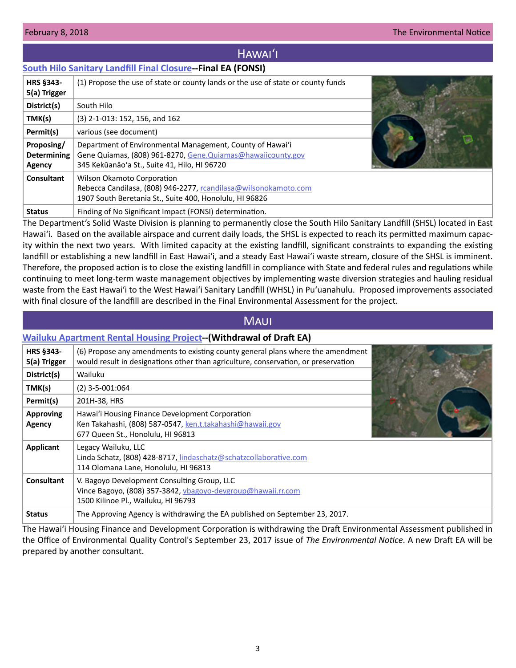# Hawaiʻi

## <span id="page-2-0"></span>**[South Hilo Sanitary Landfill Final Closure-](http://oeqc2.doh.hawaii.gov/EA_EIS_Library/2018-02-08-HA-FEA-South-Hilo-Sanitary-Landfill-Final-Closure.pdf)-Final EA (FONSI)**

| HRS §343-<br>5(a) Trigger                  | (1) Propose the use of state or county lands or the use of state or county funds                                                                                          |  |
|--------------------------------------------|---------------------------------------------------------------------------------------------------------------------------------------------------------------------------|--|
| District(s)                                | South Hilo                                                                                                                                                                |  |
| TMK(s)                                     | (3) 2-1-013: 152, 156, and 162                                                                                                                                            |  |
| Permit(s)                                  | various (see document)                                                                                                                                                    |  |
| Proposing/<br><b>Determining</b><br>Agency | Department of Environmental Management, County of Hawai'i<br>Gene Quiamas, (808) 961-8270, Gene. Quiamas@hawaiicounty.gov<br>345 Kekūanāo'a St., Suite 41, Hilo, HI 96720 |  |
| <b>Consultant</b>                          | Wilson Okamoto Corporation<br>Rebecca Candilasa, (808) 946-2277, rcandilasa@wilsonokamoto.com<br>1907 South Beretania St., Suite 400, Honolulu, HI 96826                  |  |
| <b>Status</b>                              | Finding of No Significant Impact (FONSI) determination.                                                                                                                   |  |

The Department's Solid Waste Division is planning to permanently close the South Hilo Sanitary Landfill (SHSL) located in East Hawaiʻi. Based on the available airspace and current daily loads, the SHSL is expected to reach its permitted maximum capacity within the next two years. With limited capacity at the existing landfill, significant constraints to expanding the existing landfill or establishing a new landfill in East Hawaiʻi, and a steady East Hawaiʻi waste stream, closure of the SHSL is imminent. Therefore, the proposed action is to close the existing landfill in compliance with State and federal rules and regulations while continuing to meet long-term waste management objectives by implementing waste diversion strategies and hauling residual waste from the East Hawaiʻi to the West Hawaiʻi Sanitary Landfill (WHSL) in Puʻuanahulu. Proposed improvements associated with final closure of the landfill are described in the Final Environmental Assessment for the project.

# Maui

## **[Wailuku Apartment Rental Housing Project-](http://oeqc2.doh.hawaii.gov/EA_EIS_Library/2018-02-08-MA-Withdrawal-of-DEA-Wailuku-Apartment-Rental-Housing.pdf)-(Withdrawal of Draft EA)**

| HRS §343-<br>5(a) Trigger         | (6) Propose any amendments to existing county general plans where the amendment<br>would result in designations other than agriculture, conservation, or preservation |  |
|-----------------------------------|-----------------------------------------------------------------------------------------------------------------------------------------------------------------------|--|
| District(s)                       | Wailuku                                                                                                                                                               |  |
| TMK(s)                            | $(2)$ 3-5-001:064                                                                                                                                                     |  |
| Permit(s)                         | 201H-38, HRS                                                                                                                                                          |  |
| <b>Approving</b><br><b>Agency</b> | Hawai'i Housing Finance Development Corporation<br>Ken Takahashi, (808) 587-0547, ken.t.takahashi@hawaii.gov<br>677 Queen St., Honolulu, HI 96813                     |  |
| <b>Applicant</b>                  | Legacy Wailuku, LLC<br>Linda Schatz, (808) 428-8717, lindaschatz@schatzcollaborative.com<br>114 Olomana Lane, Honolulu, HI 96813                                      |  |
| <b>Consultant</b>                 | V. Bagoyo Development Consulting Group, LLC<br>Vince Bagoyo, (808) 357-3842, vbagoyo-devgroup@hawaii.rr.com<br>1500 Kilinoe Pl., Wailuku, HI 96793                    |  |
| <b>Status</b>                     | The Approving Agency is withdrawing the EA published on September 23, 2017.                                                                                           |  |

The Hawaiʻi Housing Finance and Development Corporation is withdrawing the Draft Environmental Assessment published in the Office of Environmental Quality Control's September 23, 2017 issue of *The Environmental Notice*. A new Draft EA will be prepared by another consultant.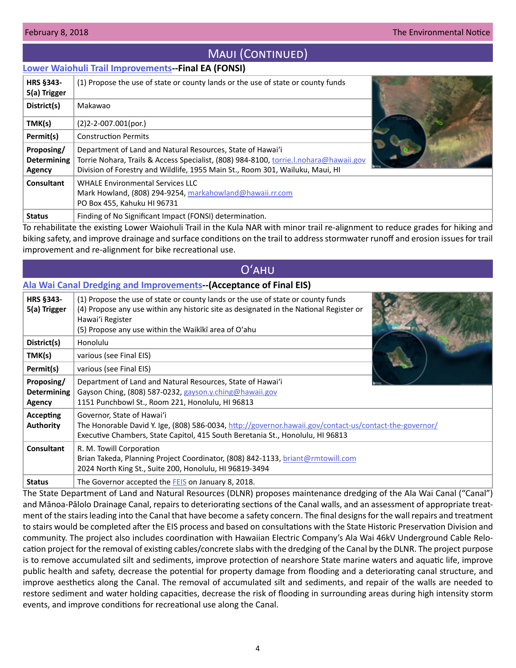# MAUI (CONTINUED)

## <span id="page-3-0"></span>**[Lower Waiohuli Trail Improvements](http://oeqc2.doh.hawaii.gov/EA_EIS_Library/2018-02-08-MA-FEA-Lower-Waiohuli-Trail-Improvements.pdf)--Final EA (FONSI)**

| <b>HRS §343-</b><br>5(a) Trigger           | (1) Propose the use of state or county lands or the use of state or county funds                                                                                                                                                     |  |
|--------------------------------------------|--------------------------------------------------------------------------------------------------------------------------------------------------------------------------------------------------------------------------------------|--|
| District(s)                                | Makawao                                                                                                                                                                                                                              |  |
| TMK(s)                                     | $(2)$ 2-2-007.001(por.)                                                                                                                                                                                                              |  |
| Permit(s)                                  | <b>Construction Permits</b>                                                                                                                                                                                                          |  |
| Proposing/<br><b>Determining</b><br>Agency | Department of Land and Natural Resources, State of Hawai'i<br>Torrie Nohara, Trails & Access Specialist, (808) 984-8100, torrie.l.nohara@hawaii.gov<br>Division of Forestry and Wildlife, 1955 Main St., Room 301, Wailuku, Maui, HI |  |
| Consultant                                 | <b>WHALE Environmental Services LLC</b><br>Mark Howland, (808) 294-9254, markahowland@hawaii.rr.com<br>PO Box 455, Kahuku HI 96731                                                                                                   |  |
| <b>Status</b>                              | Finding of No Significant Impact (FONSI) determination.                                                                                                                                                                              |  |

To rehabilitate the existing Lower Waiohuli Trail in the Kula NAR with minor trail re-alignment to reduce grades for hiking and biking safety, and improve drainage and surface conditions on the trail to address stormwater runoff and erosion issues for trail improvement and re-alignment for bike recreational use.

# Oʻahu

# **[Ala Wai Canal Dredging and Improvements](http://oeqc2.doh.hawaii.gov/EA_EIS_Library/2018-02-08-OA-2nd-FEIS-Acceptance-Ala-Wai-Dredging-and-Improvements.pdf)--(Acceptance of Final EIS)**

| <b>HRS §343-</b><br>5(a) Trigger                  | (1) Propose the use of state or county lands or the use of state or county funds<br>(4) Propose any use within any historic site as designated in the National Register or<br>Hawai'i Register<br>(5) Propose any use within the Waikiki area of O'ahu |
|---------------------------------------------------|--------------------------------------------------------------------------------------------------------------------------------------------------------------------------------------------------------------------------------------------------------|
| District(s)                                       | Honolulu                                                                                                                                                                                                                                               |
| TMK(s)                                            | various (see Final EIS)                                                                                                                                                                                                                                |
| Permit(s)                                         | various (see Final EIS)                                                                                                                                                                                                                                |
| Proposing/<br><b>Determining</b><br><b>Agency</b> | Department of Land and Natural Resources, State of Hawai'i<br>Gayson Ching, (808) 587-0232, gayson.y.ching@hawaii.gov<br>1151 Punchbowl St., Room 221, Honolulu, HI 96813                                                                              |
| <b>Accepting</b><br><b>Authority</b>              | Governor, State of Hawai'i<br>The Honorable David Y. Ige, (808) 586-0034, http://governor.hawaii.gov/contact-us/contact-the-governor/<br>Executive Chambers, State Capitol, 415 South Beretania St., Honolulu, HI 96813                                |
| <b>Consultant</b>                                 | R. M. Towill Corporation<br>Brian Takeda, Planning Project Coordinator, (808) 842-1133, briant@rmtowill.com<br>2024 North King St., Suite 200, Honolulu, HI 96819-3494                                                                                 |
| <b>Status</b>                                     | The Governor accepted the <b>FEIS</b> on January 8, 2018.                                                                                                                                                                                              |

The State Department of Land and Natural Resources (DLNR) proposes maintenance dredging of the Ala Wai Canal ("Canal") and Mānoa-Pālolo Drainage Canal, repairs to deteriorating sections of the Canal walls, and an assessment of appropriate treatment of the stairs leading into the Canal that have become a safety concern. The final designs for the wall repairs and treatment to stairs would be completed after the EIS process and based on consultations with the State Historic Preservation Division and community. The project also includes coordination with Hawaiian Electric Company's Ala Wai 46kV Underground Cable Relocation project for the removal of existing cables/concrete slabs with the dredging of the Canal by the DLNR. The project purpose is to remove accumulated silt and sediments, improve protection of nearshore State marine waters and aquatic life, improve public health and safety, decrease the potential for property damage from flooding and a deteriorating canal structure, and improve aesthetics along the Canal. The removal of accumulated silt and sediments, and repair of the walls are needed to restore sediment and water holding capacities, decrease the risk of flooding in surrounding areas during high intensity storm events, and improve conditions for recreational use along the Canal.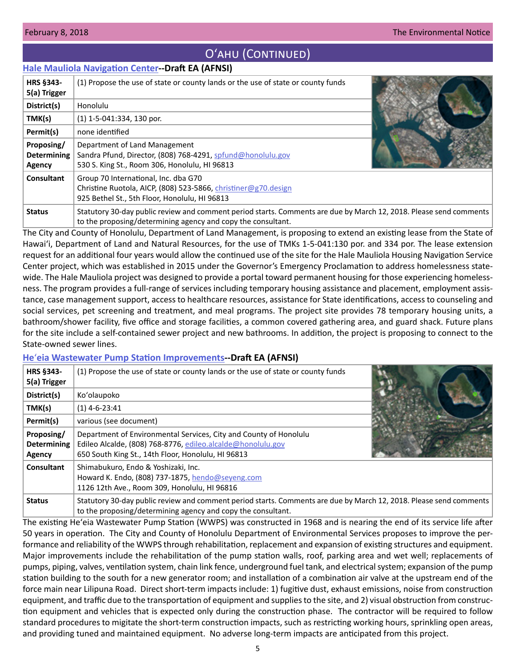# O'AHU (CONTINUED)

## <span id="page-4-0"></span>**[Hale Mauliola Navigation Center-](http://oeqc2.doh.hawaii.gov/EA_EIS_Library/2018-02-08-OA-DEA-Hale-Mauliola-Navigation-Service-Center.pdf)-Draft EA (AFNSI)**

| <b>HRS §343-</b>   | (1) Propose the use of state or county lands or the use of state or county funds                                                                                                   |  |
|--------------------|------------------------------------------------------------------------------------------------------------------------------------------------------------------------------------|--|
| 5(a) Trigger       |                                                                                                                                                                                    |  |
| District(s)        | Honolulu                                                                                                                                                                           |  |
| TMK(s)             | $(1)$ 1-5-041:334, 130 por.                                                                                                                                                        |  |
| Permit(s)          | none identified                                                                                                                                                                    |  |
| Proposing/         | Department of Land Management                                                                                                                                                      |  |
| <b>Determining</b> | Sandra Pfund, Director, (808) 768-4291, spfund@honolulu.gov                                                                                                                        |  |
| Agency             | 530 S. King St., Room 306, Honolulu, HI 96813                                                                                                                                      |  |
| Consultant         | Group 70 International, Inc. dba G70                                                                                                                                               |  |
|                    | Christine Ruotola, AICP, (808) 523-5866, christiner@g70.design                                                                                                                     |  |
|                    | 925 Bethel St., 5th Floor, Honolulu, HI 96813                                                                                                                                      |  |
| <b>Status</b>      | Statutory 30-day public review and comment period starts. Comments are due by March 12, 2018. Please send comments<br>to the proposing/determining agency and copy the consultant. |  |

The City and County of Honolulu, Department of Land Management, is proposing to extend an existing lease from the State of Hawai'i, Department of Land and Natural Resources, for the use of TMKs 1-5-041:130 por. and 334 por. The lease extension request for an additional four years would allow the continued use of the site for the Hale Mauliola Housing Navigation Service Center project, which was established in 2015 under the Governor's Emergency Proclamation to address homelessness statewide. The Hale Mauliola project was designed to provide a portal toward permanent housing for those experiencing homelessness. The program provides a full-range of services including temporary housing assistance and placement, employment assistance, case management support, access to healthcare resources, assistance for State identifications, access to counseling and social services, pet screening and treatment, and meal programs. The project site provides 78 temporary housing units, a bathroom/shower facility, five office and storage facilities, a common covered gathering area, and guard shack. Future plans for the site include a self-contained sewer project and new bathrooms. In addition, the project is proposing to connect to the State-owned sewer lines.

## **He**ʻ**[eia Wastewater Pump Station Improvements](http://oeqc2.doh.hawaii.gov/EA_EIS_Library/2018-02-08-OA-DEA-Heeia-Wastewater-Pump-Station-Improvements.pdf)--Draft EA (AFNSI)**

| <b>HRS §343-</b><br>5(a) Trigger           | (1) Propose the use of state or county lands or the use of state or county funds                                                                                                       |  |
|--------------------------------------------|----------------------------------------------------------------------------------------------------------------------------------------------------------------------------------------|--|
| District(s)                                | Ko'olaupoko                                                                                                                                                                            |  |
| TMK(s)                                     | $(1)$ 4-6-23:41                                                                                                                                                                        |  |
| Permit(s)                                  | various (see document)                                                                                                                                                                 |  |
| Proposing/<br><b>Determining</b><br>Agency | Department of Environmental Services, City and County of Honolulu<br>Edileo Alcalde, (808) 768-8776, edileo.alcalde@honolulu.gov<br>650 South King St., 14th Floor, Honolulu, HI 96813 |  |
| Consultant                                 | Shimabukuro, Endo & Yoshizaki, Inc.<br>Howard K. Endo, (808) 737-1875, hendo@seyeng.com<br>1126 12th Ave., Room 309, Honolulu, HI 96816                                                |  |
| <b>Status</b>                              | Statutory 30-day public review and comment period starts. Comments are due by March 12, 2018. Please send comments<br>to the proposing/determining agency and copy the consultant.     |  |

The existing Heʻeia Wastewater Pump Station (WWPS) was constructed in 1968 and is nearing the end of its service life after 50 years in operation. The City and County of Honolulu Department of Environmental Services proposes to improve the performance and reliability of the WWPS through rehabilitation, replacement and expansion of existing structures and equipment. Major improvements include the rehabilitation of the pump station walls, roof, parking area and wet well; replacements of pumps, piping, valves, ventilation system, chain link fence, underground fuel tank, and electrical system; expansion of the pump station building to the south for a new generator room; and installation of a combination air valve at the upstream end of the force main near Lilipuna Road. Direct short-term impacts include: 1) fugitive dust, exhaust emissions, noise from construction equipment, and traffic due to the transportation of equipment and supplies to the site, and 2) visual obstruction from construction equipment and vehicles that is expected only during the construction phase. The contractor will be required to follow standard procedures to migitate the short-term construction impacts, such as restricting working hours, sprinkling open areas, and providing tuned and maintained equipment. No adverse long-term impacts are anticipated from this project.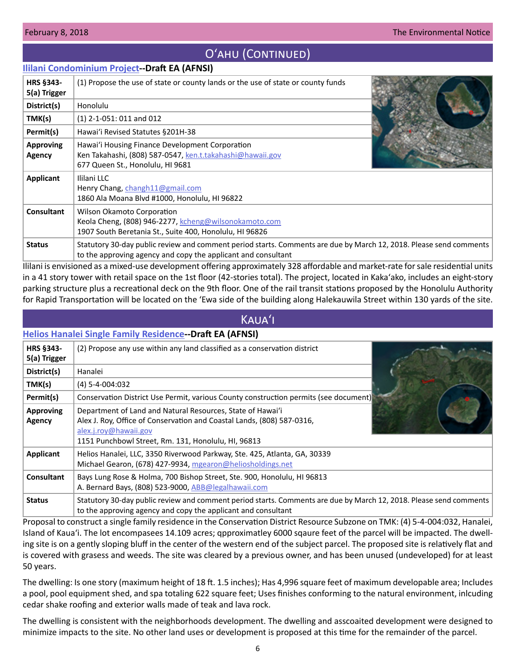# O'AHU (CONTINUED)

## <span id="page-5-0"></span>**[Ililani Condominium Project](http://oeqc2.doh.hawaii.gov/EA_EIS_Library/2018-02-08-OA-DEA-Ililani-Condominium.pdf)--Draft EA (AFNSI)**

| <b>HRS §343-</b><br>5(a) Trigger | (1) Propose the use of state or county lands or the use of state or county funds                                                                                                    |  |
|----------------------------------|-------------------------------------------------------------------------------------------------------------------------------------------------------------------------------------|--|
| District(s)                      | Honolulu                                                                                                                                                                            |  |
| TMK(s)                           | $(1)$ 2-1-051: 011 and 012                                                                                                                                                          |  |
| Permit(s)                        | Hawai'i Revised Statutes §201H-38                                                                                                                                                   |  |
| <b>Approving</b><br>Agency       | Hawai'i Housing Finance Development Corporation<br>Ken Takahashi, (808) 587-0547, ken.t.takahashi@hawaii.gov<br>677 Queen St., Honolulu, HI 9681                                    |  |
| Applicant                        | Ililani LLC<br>Henry Chang, changh11@gmail.com<br>1860 Ala Moana Blvd #1000, Honolulu, HI 96822                                                                                     |  |
| <b>Consultant</b>                | Wilson Okamoto Corporation<br>Keola Cheng, (808) 946-2277, kcheng@wilsonokamoto.com<br>1907 South Beretania St., Suite 400, Honolulu, HI 96826                                      |  |
| <b>Status</b>                    | Statutory 30-day public review and comment period starts. Comments are due by March 12, 2018. Please send comments<br>to the approving agency and copy the applicant and consultant |  |

Ililani is envisioned as a mixed-use development offering approximately 328 affordable and market-rate for sale residential units in a 41 story tower with retail space on the 1st floor (42-stories total). The project, located in Kakaʻako, includes an eight-story parking structure plus a recreational deck on the 9th floor. One of the rail transit stations proposed by the Honolulu Authority for Rapid Transportation will be located on the ʻEwa side of the building along Halekauwila Street within 130 yards of the site.

## Kauaʻi

|                                  | <b>Helios Hanalei Single Family Residence--Draft EA (AFNSI)</b>                                                                                                                                                      |  |
|----------------------------------|----------------------------------------------------------------------------------------------------------------------------------------------------------------------------------------------------------------------|--|
| <b>HRS §343-</b><br>5(a) Trigger | (2) Propose any use within any land classified as a conservation district                                                                                                                                            |  |
| District(s)                      | Hanalei                                                                                                                                                                                                              |  |
| TMK(s)                           | $(4) 5 - 4 - 004:032$                                                                                                                                                                                                |  |
| Permit(s)                        | Conservation District Use Permit, various County construction permits (see document)                                                                                                                                 |  |
| <b>Approving</b><br>Agency       | Department of Land and Natural Resources, State of Hawai'i<br>Alex J. Roy, Office of Conservation and Coastal Lands, (808) 587-0316,<br>alex.j.roy@hawaii.gov<br>1151 Punchbowl Street, Rm. 131, Honolulu, HI, 96813 |  |
| Applicant                        | Helios Hanalei, LLC, 3350 Riverwood Parkway, Ste. 425, Atlanta, GA, 30339<br>Michael Gearon, (678) 427-9934, mgearon@heliosholdings.net                                                                              |  |
| <b>Consultant</b>                | Bays Lung Rose & Holma, 700 Bishop Street, Ste. 900, Honolulu, HI 96813<br>A. Bernard Bays, (808) 523-9000, ABB@legalhawaii.com                                                                                      |  |
| <b>Status</b>                    | Statutory 30-day public review and comment period starts. Comments are due by March 12, 2018. Please send comments<br>to the approving agency and copy the applicant and consultant                                  |  |

Proposal to construct a single family residence in the Conservation District Resource Subzone on TMK: (4) 5-4-004:032, Hanalei, Island of Kauaʻi. The lot encompasees 14.109 acres; qpproximatley 6000 sqaure feet of the parcel will be impacted. The dwelling site is on a gently sloping bluff in the center of the western end of the subject parcel. The proposed site is relatively flat and is covered with grasess and weeds. The site was cleared by a previous owner, and has been unused (undeveloped) for at least 50 years.

The dwelling: Is one story (maximum height of 18 ft. 1.5 inches); Has 4,996 square feet of maximum developable area; Includes a pool, pool equipment shed, and spa totaling 622 square feet; Uses finishes conforming to the natural environment, inlcuding cedar shake roofing and exterior walls made of teak and lava rock.

The dwelling is consistent with the neighborhoods development. The dwelling and asscoaited development were designed to minimize impacts to the site. No other land uses or development is proposed at this time for the remainder of the parcel.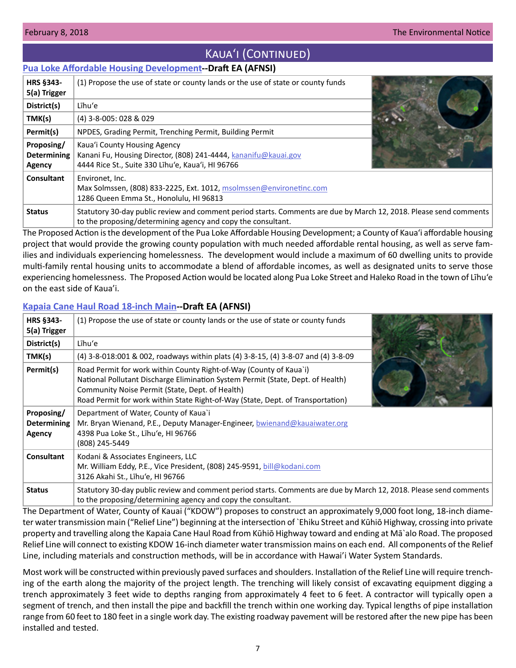# KAUA'I (CONTINUED)

## <span id="page-6-0"></span>**[Pua Loke Affordable Housing Development-](http://oeqc2.doh.hawaii.gov/EA_EIS_Library/2018-02-08-KA-DEA-Pua-Loke-Affordable-Housing-Development.pdf)-Draft EA (AFNSI)**

| HRS §343-<br>5(a) Trigger                  | (1) Propose the use of state or county lands or the use of state or county funds                                                                                                   |  |
|--------------------------------------------|------------------------------------------------------------------------------------------------------------------------------------------------------------------------------------|--|
| District(s)                                | Līhu'e                                                                                                                                                                             |  |
| TMK(s)                                     | (4) 3-8-005: 028 & 029                                                                                                                                                             |  |
| Permit(s)                                  | NPDES, Grading Permit, Trenching Permit, Building Permit                                                                                                                           |  |
| Proposing/<br><b>Determining</b><br>Agency | Kaua'i County Housing Agency<br>Kanani Fu, Housing Director, (808) 241-4444, kananifu@kauai.gov<br>4444 Rice St., Suite 330 Lihu'e, Kaua'i, HI 96766                               |  |
| <b>Consultant</b>                          | Environet, Inc.<br>Max Solmssen, (808) 833-2225, Ext. 1012, msolmssen@environetinc.com<br>1286 Queen Emma St., Honolulu, HI 96813                                                  |  |
| <b>Status</b>                              | Statutory 30-day public review and comment period starts. Comments are due by March 12, 2018. Please send comments<br>to the proposing/determining agency and copy the consultant. |  |

The Proposed Action is the development of the Pua Loke Affordable Housing Development; a County of Kaua'i affordable housing project that would provide the growing county population with much needed affordable rental housing, as well as serve families and individuals experiencing homelessness. The development would include a maximum of 60 dwelling units to provide multi-family rental housing units to accommodate a blend of affordable incomes, as well as designated units to serve those experiencing homelessness. The Proposed Action would be located along Pua Loke Street and Haleko Road in the town of Līhu'e on the east side of Kaua'i.

# **[Kapaia Cane Haul Road 18-inch Main-](http://oeqc2.doh.hawaii.gov/EA_EIS_Library/2018-02-08-KA-DEA-Kapaia-Cane-Haul-Road-Main.pdf)-Draft EA (AFNSI)**

| <b>HRS §343-</b><br>5(a) Trigger                  | (1) Propose the use of state or county lands or the use of state or county funds                                                                                                                                                                                                            |
|---------------------------------------------------|---------------------------------------------------------------------------------------------------------------------------------------------------------------------------------------------------------------------------------------------------------------------------------------------|
| District(s)                                       | Līhu'e                                                                                                                                                                                                                                                                                      |
| TMK(s)                                            | (4) 3-8-018:001 & 002, roadways within plats (4) 3-8-15, (4) 3-8-07 and (4) 3-8-09                                                                                                                                                                                                          |
| Permit(s)                                         | Road Permit for work within County Right-of-Way (County of Kaua`i)<br>National Pollutant Discharge Elimination System Permit (State, Dept. of Health)<br>Community Noise Permit (State, Dept. of Health)<br>Road Permit for work within State Right-of-Way (State, Dept. of Transportation) |
| Proposing/<br><b>Determining</b><br><b>Agency</b> | Department of Water, County of Kaua`i<br>Mr. Bryan Wienand, P.E., Deputy Manager-Engineer, bwienand@kauaiwater.org<br>4398 Pua Loke St., Līhu'e, HI 96766<br>(808) 245-5449                                                                                                                 |
| <b>Consultant</b>                                 | Kodani & Associates Engineers, LLC<br>Mr. William Eddy, P.E., Vice President, (808) 245-9591, bill@kodani.com<br>3126 Akahi St., Līhu'e, HI 96766                                                                                                                                           |
| <b>Status</b>                                     | Statutory 30-day public review and comment period starts. Comments are due by March 12, 2018. Please send comments<br>to the proposing/determining agency and copy the consultant.                                                                                                          |

The Department of Water, County of Kauai ("KDOW") proposes to construct an approximately 9,000 foot long, 18-inch diameter water transmission main ("Relief Line") beginning at the intersection of `Ehiku Street and Kūhiō Highway, crossing into private property and travelling along the Kapaia Cane Haul Road from Kūhiō Highway toward and ending at Mā`alo Road. The proposed Relief Line will connect to existing KDOW 16-inch diameter water transmission mains on each end. All components of the Relief Line, including materials and construction methods, will be in accordance with Hawai'i Water System Standards.

Most work will be constructed within previously paved surfaces and shoulders. Installation of the Relief Line will require trenching of the earth along the majority of the project length. The trenching will likely consist of excavating equipment digging a trench approximately 3 feet wide to depths ranging from approximately 4 feet to 6 feet. A contractor will typically open a segment of trench, and then install the pipe and backfill the trench within one working day. Typical lengths of pipe installation range from 60 feet to 180 feet in a single work day. The existing roadway pavement will be restored after the new pipe has been installed and tested.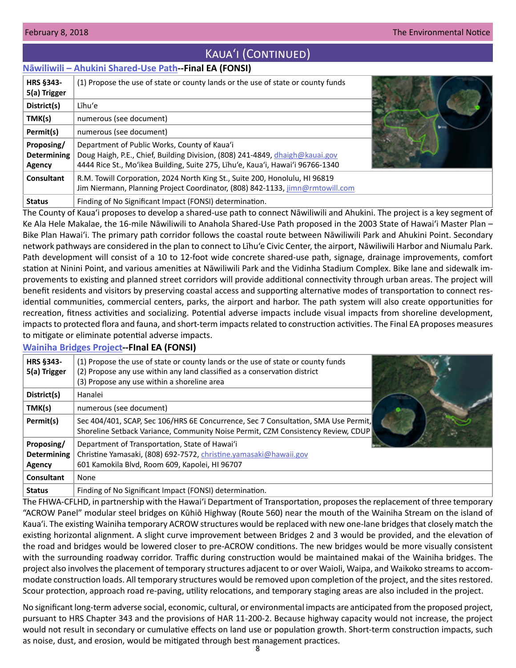# KAUA'I (CONTINUED)

## <span id="page-7-0"></span>**[Nāwiliwili – Ahukini Shared-Use Path-](http://oeqc2.doh.hawaii.gov/EA_EIS_Library/2018-02-08-KA-FEA-Nawiliwili-Ahukini-Shared-Use-Path.pdf)-Final EA (FONSI)**

| <b>HRS §343-</b><br>5(a) Trigger           | (1) Propose the use of state or county lands or the use of state or county funds                                                                                                                               |  |
|--------------------------------------------|----------------------------------------------------------------------------------------------------------------------------------------------------------------------------------------------------------------|--|
| District(s)                                | Līhu'e                                                                                                                                                                                                         |  |
| TMK(s)                                     | numerous (see document)                                                                                                                                                                                        |  |
| Permit(s)                                  | numerous (see document)                                                                                                                                                                                        |  |
| Proposing/<br><b>Determining</b><br>Agency | Department of Public Works, County of Kaua'i<br>Doug Haigh, P.E., Chief, Building Division, (808) 241-4849, dhaigh@kauai.gov<br>4444 Rice St., Mo'ikea Building, Suite 275, Lïhu'e, Kaua'i, Hawai'i 96766-1340 |  |
| Consultant                                 | R.M. Towill Corporation, 2024 North King St., Suite 200, Honolulu, HI 96819<br>Jim Niermann, Planning Project Coordinator, (808) 842-1133, jimn@rmtowill.com                                                   |  |
| <b>Status</b>                              | Finding of No Significant Impact (FONSI) determination.                                                                                                                                                        |  |

The County of Kaua'i proposes to develop a shared-use path to connect Nāwiliwili and Ahukini. The project is a key segment of Ke Ala Hele Makalae, the 16-mile Nāwiliwili to Anahola Shared-Use Path proposed in the 2003 State of Hawaiʻi Master Plan – Bike Plan Hawai'i. The primary path corridor follows the coastal route between Nāwiliwili Park and Ahukini Point. Secondary network pathways are considered in the plan to connect to Līhu'e Civic Center, the airport, Nāwiliwili Harbor and Niumalu Park. Path development will consist of a 10 to 12-foot wide concrete shared-use path, signage, drainage improvements, comfort station at Ninini Point, and various amenities at Nāwiliwili Park and the Vidinha Stadium Complex. Bike lane and sidewalk improvements to existing and planned street corridors will provide additional connectivity through urban areas. The project will benefit residents and visitors by preserving coastal access and supporting alternative modes of transportation to connect residential communities, commercial centers, parks, the airport and harbor. The path system will also create opportunities for recreation, fitness activities and socializing. Potential adverse impacts include visual impacts from shoreline development, impacts to protected flora and fauna, and short-term impacts related to construction activities. The Final EA proposes measures to mitigate or eliminate potential adverse impacts.

## **[Wainiha Bridges Project](http://oeqc2.doh.hawaii.gov/EA_EIS_Library/2018-02-08-KA-FEA-Wainiha-Bridges-Replacement.pdf)--FInal EA (FONSI)**

| HRS §343-<br>5(a) Trigger                  | (1) Propose the use of state or county lands or the use of state or county funds<br>(2) Propose any use within any land classified as a conservation district<br>(3) Propose any use within a shoreline area |
|--------------------------------------------|--------------------------------------------------------------------------------------------------------------------------------------------------------------------------------------------------------------|
| District(s)                                | Hanalei                                                                                                                                                                                                      |
| TMK(s)                                     | numerous (see document)                                                                                                                                                                                      |
| Permit(s)                                  | Sec 404/401, SCAP, Sec 106/HRS 6E Concurrence, Sec 7 Consultation, SMA Use Permit,<br>Shoreline Setback Variance, Community Noise Permit, CZM Consistency Review, CDUP                                       |
| Proposing/<br><b>Determining</b><br>Agency | Department of Transportation, State of Hawai'i<br>Christine Yamasaki, (808) 692-7572, christine.yamasaki@hawaii.gov<br>601 Kamokila Blvd, Room 609, Kapolei, HI 96707                                        |
| Consultant                                 | None                                                                                                                                                                                                         |
| <b>Status</b>                              | Finding of No Significant Impact (FONSI) determination.                                                                                                                                                      |

The FHWA-CFLHD, in partnership with the Hawaiʻi Department of Transportation, proposes the replacement of three temporary "ACROW Panel" modular steel bridges on Kūhiō Highway (Route 560) near the mouth of the Wainiha Stream on the island of Kaua'i. The existing Wainiha temporary ACROW structures would be replaced with new one-lane bridges that closely match the existing horizontal alignment. A slight curve improvement between Bridges 2 and 3 would be provided, and the elevation of the road and bridges would be lowered closer to pre-ACROW conditions. The new bridges would be more visually consistent with the surrounding roadway corridor. Traffic during construction would be maintained makai of the Wainiha bridges. The project also involves the placement of temporary structures adjacent to or over Waioli, Waipa, and Waikoko streams to accommodate construction loads. All temporary structures would be removed upon completion of the project, and the sites restored. Scour protection, approach road re-paving, utility relocations, and temporary staging areas are also included in the project.

No significant long-term adverse social, economic, cultural, or environmental impacts are anticipated from the proposed project, pursuant to HRS Chapter 343 and the provisions of HAR 11-200-2. Because highway capacity would not increase, the project would not result in secondary or cumulative effects on land use or population growth. Short-term construction impacts, such as noise, dust, and erosion, would be mitigated through best management practices.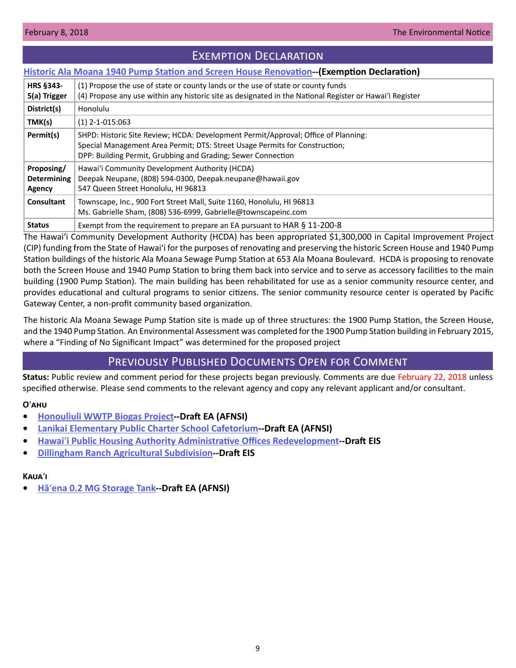# Exemption Declaration

## <span id="page-8-0"></span>**[Historic Ala Moana 1940 Pump Station and Screen House Renovation-](http://oeqc2.doh.hawaii.gov/Other_TEN_Publications/2018-02-08-OA-Exemption-Ala-Moana-1940-Pump-Station-Screen-House.pdf)-(Exemption Declaration)**

| <b>HRS §343-</b><br>5(a) Trigger           | (1) Propose the use of state or county lands or the use of state or county funds<br>(4) Propose any use within any historic site as designated in the National Register or Hawai'i Register                                       |
|--------------------------------------------|-----------------------------------------------------------------------------------------------------------------------------------------------------------------------------------------------------------------------------------|
| District(s)                                | Honolulu                                                                                                                                                                                                                          |
| TMK(s)                                     | $(1)$ 2-1-015:063                                                                                                                                                                                                                 |
| Permit(s)                                  | SHPD: Historic Site Review; HCDA: Development Permit/Approval; Office of Planning:<br>Special Management Area Permit; DTS: Street Usage Permits for Construction;<br>DPP: Building Permit, Grubbing and Grading; Sewer Connection |
| Proposing/<br><b>Determining</b><br>Agency | Hawai'i Community Development Authority (HCDA)<br>Deepak Neupane, (808) 594-0300, Deepak.neupane@hawaii.gov<br>547 Queen Street Honolulu, HI 96813                                                                                |
| <b>Consultant</b>                          | Townscape, Inc., 900 Fort Street Mall, Suite 1160, Honolulu, HI 96813<br>Ms. Gabrielle Sham, (808) 536-6999, Gabrielle@townscapeinc.com                                                                                           |
| <b>Status</b>                              | Exempt from the requirement to prepare an EA pursuant to HAR § 11-200-8                                                                                                                                                           |

The Hawaiʻi Community Development Authority (HCDA) has been appropriated \$1,300,000 in Capital Improvement Project (CIP) funding from the State of Hawaiʻi for the purposes of renovating and preserving the historic Screen House and 1940 Pump Station buildings of the historic Ala Moana Sewage Pump Station at 653 Ala Moana Boulevard. HCDA is proposing to renovate both the Screen House and 1940 Pump Station to bring them back into service and to serve as accessory facilities to the main building (1900 Pump Station). The main building has been rehabilitated for use as a senior community resource center, and provides educational and cultural programs to senior citizens. The senior community resource center is operated by Pacific Gateway Center, a non-profit community based organization.

The historic Ala Moana Sewage Pump Station site is made up of three structures: the 1900 Pump Station, the Screen House, and the 1940 Pump Station. An Environmental Assessment was completed for the 1900 Pump Station building in February 2015, where a "Finding of No Significant Impact" was determined for the proposed project

# Previously Published Documents Open for Comment

**Status:** Public review and comment period for these projects began previously. Comments are due February 22, 2018 unless specified otherwise. Please send comments to the relevant agency and copy any relevant applicant and/or consultant.

## **O**ʻ**ahu**

- **• [Honouliuli WWTP Biogas Project](http://oeqc2.doh.hawaii.gov/EA_EIS_Library/2018-01-23-OA-DEA-Honouliuli-WWTP-Biogas-Project.pdf)--Draft EA (AFNSI)**
- **• [Lanikai Elementary Public Charter School Cafetorium-](http://oeqc2.doh.hawaii.gov/EA_EIS_Library/2018-01-23-OA-DEA-Lanikai-Elementary-Cafetorium.pdf)-Draft EA (AFNSI)**
- **• Hawai**ʻ**i Public Housing Authority Administrative Offices Redevelopment--Draft EIS**
- **• Dillingham Ranch Agricultural Subdivision--Draft EIS**

## **Kaua**ʻ**i**

**• Hā**ʻ**[ena 0.2 MG Storage Tank-](http://oeqc2.doh.hawaii.gov/EA_EIS_Library/2018-01-23-KA-DEA-Haena-0.2-MG-Storage-Tank.pdf)-Draft EA (AFNSI)**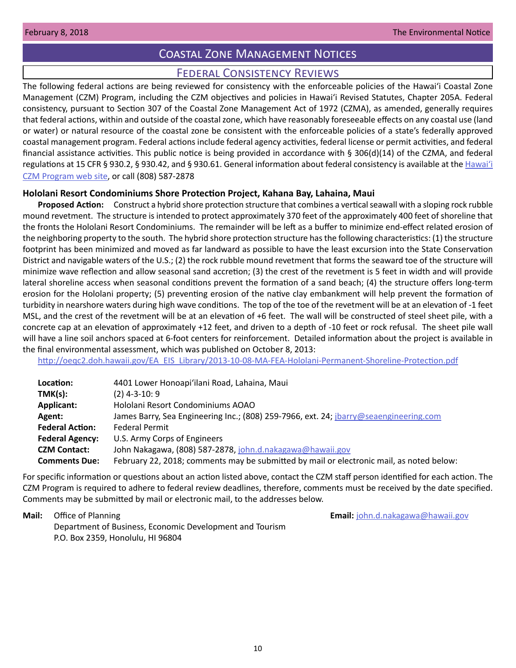# Coastal Zone Management Notices

# Federal Consistency Reviews

<span id="page-9-0"></span>The following federal actions are being reviewed for consistency with the enforceable policies of the Hawaiʻi Coastal Zone Management (CZM) Program, including the CZM objectives and policies in Hawaiʻi Revised Statutes, Chapter 205A. Federal consistency, pursuant to Section 307 of the Coastal Zone Management Act of 1972 (CZMA), as amended, generally requires that federal actions, within and outside of the coastal zone, which have reasonably foreseeable effects on any coastal use (land or water) or natural resource of the coastal zone be consistent with the enforceable policies of a state's federally approved coastal management program. Federal actions include federal agency activities, federal license or permit activities, and federal financial assistance activities. This public notice is being provided in accordance with § 306(d)(14) of the CZMA, and federal regulations at 15 CFR § 930.2, § 930.42, and § 930.61. General information about federal consistency is available at the [Hawai](http://planning.hawaii.gov/czm/federal-consistency/)ʻi [CZM Program web site,](http://planning.hawaii.gov/czm/federal-consistency/) or call (808) 587-2878

## **Hololani Resort Condominiums Shore Protection Project, Kahana Bay, Lahaina, Maui**

**Proposed Action:** Construct a hybrid shore protection structure that combines a vertical seawall with a sloping rock rubble mound revetment. The structure is intended to protect approximately 370 feet of the approximately 400 feet of shoreline that the fronts the Hololani Resort Condominiums. The remainder will be left as a buffer to minimize end-effect related erosion of the neighboring property to the south. The hybrid shore protection structure has the following characteristics: (1) the structure footprint has been minimized and moved as far landward as possible to have the least excursion into the State Conservation District and navigable waters of the U.S.; (2) the rock rubble mound revetment that forms the seaward toe of the structure will minimize wave reflection and allow seasonal sand accretion; (3) the crest of the revetment is 5 feet in width and will provide lateral shoreline access when seasonal conditions prevent the formation of a sand beach; (4) the structure offers long-term erosion for the Hololani property; (5) preventing erosion of the native clay embankment will help prevent the formation of turbidity in nearshore waters during high wave conditions. The top of the toe of the revetment will be at an elevation of -1 feet MSL, and the crest of the revetment will be at an elevation of +6 feet. The wall will be constructed of steel sheet pile, with a concrete cap at an elevation of approximately +12 feet, and driven to a depth of -10 feet or rock refusal. The sheet pile wall will have a line soil anchors spaced at 6-foot centers for reinforcement. Detailed information about the project is available in the final environmental assessment, which was published on October 8, 2013:

[http://oeqc2.doh.hawaii.gov/EA\\_EIS\\_Library/2013-10-08-MA-FEA-Hololani-Permanent-Shoreline-Protection.pdf](http://oeqc2.doh.hawaii.gov/EA_EIS_Library/2013-10-08-MA-FEA-Hololani-Permanent-Shoreline-Protection.pdf)

| Location:              | 4401 Lower Honoapi'ilani Road, Lahaina, Maui                                             |  |  |  |
|------------------------|------------------------------------------------------------------------------------------|--|--|--|
| TMK(s):                | $(2)$ 4-3-10: 9                                                                          |  |  |  |
| <b>Applicant:</b>      | Hololani Resort Condominiums AOAO                                                        |  |  |  |
| Agent:                 | James Barry, Sea Engineering Inc.; (808) 259-7966, ext. 24; jbarry@seaengineering.com    |  |  |  |
| <b>Federal Action:</b> | <b>Federal Permit</b>                                                                    |  |  |  |
| <b>Federal Agency:</b> | U.S. Army Corps of Engineers                                                             |  |  |  |
| <b>CZM Contact:</b>    | John Nakagawa, (808) 587-2878, john.d.nakagawa@hawaii.gov                                |  |  |  |
| <b>Comments Due:</b>   | February 22, 2018; comments may be submitted by mail or electronic mail, as noted below: |  |  |  |

For specific information or questions about an action listed above, contact the CZM staff person identified for each action. The CZM Program is required to adhere to federal review deadlines, therefore, comments must be received by the date specified. Comments may be submitted by mail or electronic mail, to the addresses below.

**Mail:** Office of Planning **Email:** john.d.nakagawa@hawaii.gov

Department of Business, Economic Development and Tourism P.O. Box 2359, Honolulu, HI 96804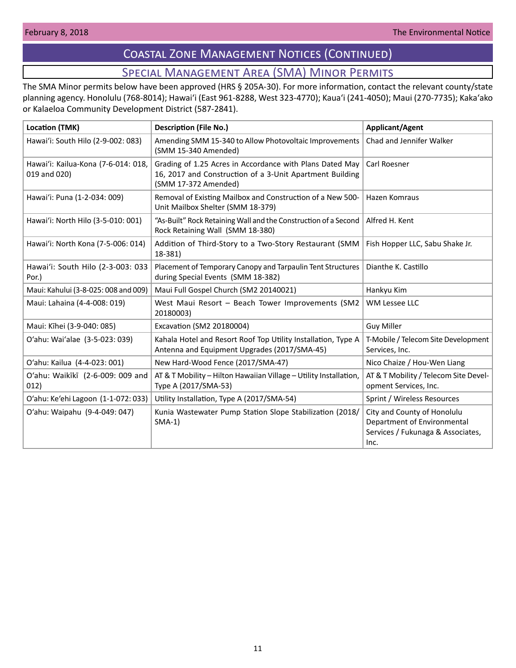# Coastal Zone Management Notices (Continued)

# Special Management Area (SMA) Minor Permits

<span id="page-10-0"></span>The SMA Minor permits below have been approved (HRS § 205A-30). For more information, contact the relevant county/state planning agency. Honolulu (768-8014); Hawaiʻi (East 961-8288, West 323-4770); Kauaʻi (241-4050); Maui (270-7735); Kakaʻako or Kalaeloa Community Development District (587-2841).

| <b>Location (TMK)</b>                               | <b>Description (File No.)</b>                                                                                                                | <b>Applicant/Agent</b>                                                                                  |  |
|-----------------------------------------------------|----------------------------------------------------------------------------------------------------------------------------------------------|---------------------------------------------------------------------------------------------------------|--|
| Hawai'i: South Hilo (2-9-002: 083)                  | Amending SMM 15-340 to Allow Photovoltaic Improvements<br>(SMM 15-340 Amended)                                                               | Chad and Jennifer Walker                                                                                |  |
| Hawai'i: Kailua-Kona (7-6-014: 018,<br>019 and 020) | Grading of 1.25 Acres in Accordance with Plans Dated May<br>16, 2017 and Construction of a 3-Unit Apartment Building<br>(SMM 17-372 Amended) | Carl Roesner                                                                                            |  |
| Hawai'i: Puna (1-2-034: 009)                        | Removal of Existing Mailbox and Construction of a New 500-<br>Unit Mailbox Shelter (SMM 18-379)                                              | Hazen Komraus                                                                                           |  |
| Hawai'i: North Hilo (3-5-010: 001)                  | "As-Built" Rock Retaining Wall and the Construction of a Second<br>Rock Retaining Wall (SMM 18-380)                                          | Alfred H. Kent                                                                                          |  |
| Hawai'i: North Kona (7-5-006: 014)                  | Addition of Third-Story to a Two-Story Restaurant (SMM<br>18-381)                                                                            | Fish Hopper LLC, Sabu Shake Jr.                                                                         |  |
| Hawai'i: South Hilo (2-3-003: 033<br>Por.)          | Placement of Temporary Canopy and Tarpaulin Tent Structures<br>during Special Events (SMM 18-382)                                            | Dianthe K. Castillo                                                                                     |  |
| Maui: Kahului (3-8-025: 008 and 009)                | Maui Full Gospel Church (SM2 20140021)                                                                                                       | Hankyu Kim                                                                                              |  |
| Maui: Lahaina (4-4-008: 019)                        | West Maui Resort - Beach Tower Improvements (SM2<br>20180003)                                                                                | <b>WM Lessee LLC</b>                                                                                    |  |
| Maui: Kīhei (3-9-040: 085)                          | Excavation (SM2 20180004)                                                                                                                    | <b>Guy Miller</b>                                                                                       |  |
| O'ahu: Wai'alae (3-5-023: 039)                      | Kahala Hotel and Resort Roof Top Utility Installation, Type A<br>Antenna and Equipment Upgrades (2017/SMA-45)                                | T-Mobile / Telecom Site Development<br>Services, Inc.                                                   |  |
| O'ahu: Kailua (4-4-023: 001)                        | New Hard-Wood Fence (2017/SMA-47)                                                                                                            | Nico Chaize / Hou-Wen Liang                                                                             |  |
| O'ahu: Waikīkī (2-6-009: 009 and<br>012)            | AT & T Mobility - Hilton Hawaiian Village - Utility Installation,<br>Type A (2017/SMA-53)                                                    | AT & T Mobility / Telecom Site Devel-<br>opment Services, Inc.                                          |  |
| O'ahu: Ke'ehi Lagoon (1-1-072: 033)                 | Utility Installation, Type A (2017/SMA-54)                                                                                                   | Sprint / Wireless Resources                                                                             |  |
| O'ahu: Waipahu (9-4-049: 047)                       | Kunia Wastewater Pump Station Slope Stabilization (2018/<br>$SMA-1)$                                                                         | City and County of Honolulu<br>Department of Environmental<br>Services / Fukunaga & Associates,<br>Inc. |  |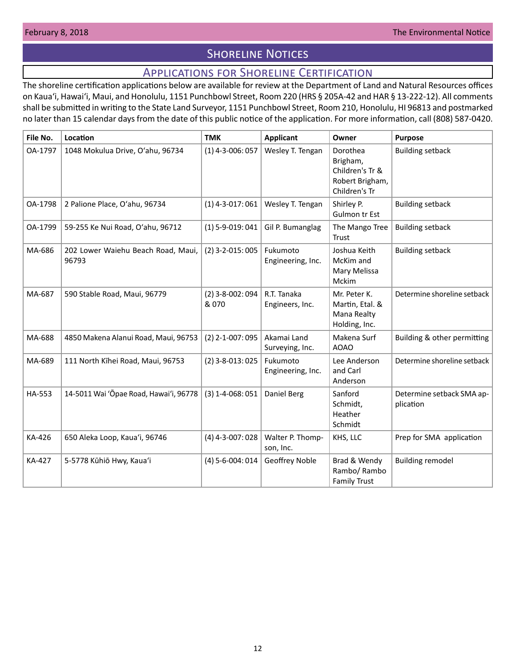# **SHORELINE NOTICES**

# Applications for Shoreline Certification

<span id="page-11-0"></span>The shoreline certification applications below are available for review at the Department of Land and Natural Resources offices on Kauaʻi, Hawaiʻi, Maui, and Honolulu, 1151 Punchbowl Street, Room 220 (HRS § 205A-42 and HAR § 13-222-12). All comments shall be submitted in writing to the State Land Surveyor, 1151 Punchbowl Street, Room 210, Honolulu, HI 96813 and postmarked no later than 15 calendar days from the date of this public notice of the application. For more information, call (808) 587-0420.

| File No.      | Location                                    | <b>TMK</b>                  | <b>Applicant</b>               | Owner                                                                       | <b>Purpose</b>                         |
|---------------|---------------------------------------------|-----------------------------|--------------------------------|-----------------------------------------------------------------------------|----------------------------------------|
| OA-1797       | 1048 Mokulua Drive, O'ahu, 96734            | $(1)$ 4-3-006: 057          | Wesley T. Tengan               | Dorothea<br>Brigham,<br>Children's Tr &<br>Robert Brigham,<br>Children's Tr | <b>Building setback</b>                |
| OA-1798       | 2 Palione Place, O'ahu, 96734               | $(1)$ 4-3-017: 061          | Wesley T. Tengan               | Shirley P.<br>Gulmon tr Est                                                 | <b>Building setback</b>                |
| OA-1799       | 59-255 Ke Nui Road, O'ahu, 96712            | $(1)$ 5-9-019: 041          | Gil P. Bumanglag               | The Mango Tree<br>Trust                                                     | <b>Building setback</b>                |
| MA-686        | 202 Lower Waiehu Beach Road, Maui,<br>96793 | $(2)$ 3-2-015: 005          | Fukumoto<br>Engineering, Inc.  | Joshua Keith<br>McKim and<br>Mary Melissa<br>Mckim                          | <b>Building setback</b>                |
| MA-687        | 590 Stable Road, Maui, 96779                | $(2)$ 3-8-002: 094<br>& 070 | R.T. Tanaka<br>Engineers, Inc. | Mr. Peter K.<br>Martin, Etal. &<br>Mana Realty<br>Holding, Inc.             | Determine shoreline setback            |
| MA-688        | 4850 Makena Alanui Road, Maui, 96753        | $(2)$ 2-1-007: 095          | Akamai Land<br>Surveying, Inc. | Makena Surf<br><b>AOAO</b>                                                  | Building & other permitting            |
| MA-689        | 111 North Kīhei Road, Maui, 96753           | $(2)$ 3-8-013: 025          | Fukumoto<br>Engineering, Inc.  | Lee Anderson<br>and Carl<br>Anderson                                        | Determine shoreline setback            |
| HA-553        | 14-5011 Wai 'Ōpae Road, Hawai'i, 96778      | $(3)$ 1-4-068: 051          | Daniel Berg                    | Sanford<br>Schmidt,<br>Heather<br>Schmidt                                   | Determine setback SMA ap-<br>plication |
| KA-426        | 650 Aleka Loop, Kaua'i, 96746               | $(4)$ 4-3-007: 028          | Walter P. Thomp-<br>son, Inc.  | KHS, LLC                                                                    | Prep for SMA application               |
| <b>KA-427</b> | 5-5778 Kūhiō Hwy, Kaua'i                    | $(4) 5 - 6 - 004$ : 014     | Geoffrey Noble                 | Brad & Wendy<br>Rambo/ Rambo<br><b>Family Trust</b>                         | <b>Building remodel</b>                |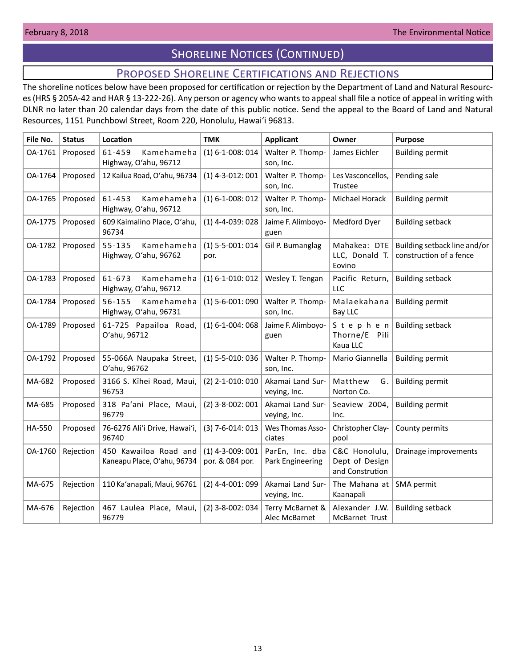# **SHORELINE NOTICES (CONTINUED)**

# Proposed Shoreline Certifications and Rejections

<span id="page-12-0"></span>The shoreline notices below have been proposed for certification or rejection by the Department of Land and Natural Resources (HRS § 205A-42 and HAR § 13-222-26). Any person or agency who wants to appeal shall file a notice of appeal in writing with DLNR no later than 20 calendar days from the date of this public notice. Send the appeal to the Board of Land and Natural Resources, 1151 Punchbowl Street, Room 220, Honolulu, Hawai'i 96813.

| File No. | <b>Status</b> | Location                                             | <b>TMK</b>                            | <b>Applicant</b>                    | Owner                                              | <b>Purpose</b>                                          |
|----------|---------------|------------------------------------------------------|---------------------------------------|-------------------------------------|----------------------------------------------------|---------------------------------------------------------|
| OA-1761  | Proposed      | 61-459<br>Kamehameha<br>Highway, O'ahu, 96712        | $(1) 6 - 1 - 008:014$                 | Walter P. Thomp-<br>son, Inc.       | James Eichler                                      | <b>Building permit</b>                                  |
| OA-1764  | Proposed      | 12 Kailua Road, O'ahu, 96734                         | $(1)$ 4-3-012: 001                    | Walter P. Thomp-<br>son, Inc.       | Les Vasconcellos,<br>Trustee                       | Pending sale                                            |
| OA-1765  | Proposed      | Kamehameha<br>61-453<br>Highway, O'ahu, 96712        | $(1) 6 - 1 - 008:012$                 | Walter P. Thomp-<br>son, Inc.       | Michael Horack                                     | <b>Building permit</b>                                  |
| OA-1775  | Proposed      | 609 Kaimalino Place, O'ahu,<br>96734                 | $(1)$ 4-4-039: 028                    | Jaime F. Alimboyo-<br>guen          | Medford Dyer                                       | <b>Building setback</b>                                 |
| OA-1782  | Proposed      | $55 - 135$<br>Kamehameha<br>Highway, O'ahu, 96762    | $(1)$ 5-5-001: 014<br>por.            | Gil P. Bumanglag                    | Mahakea: DTE<br>LLC, Donald T.<br>Eovino           | Building setback line and/or<br>construction of a fence |
| OA-1783  | Proposed      | 61-673<br>Kamehameha<br>Highway, O'ahu, 96712        | $(1) 6 - 1 - 010$ : 012               | Wesley T. Tengan                    | Pacific Return,<br>LLC                             | <b>Building setback</b>                                 |
| OA-1784  | Proposed      | Kamehameha<br>56-155<br>Highway, O'ahu, 96731        | $(1)$ 5-6-001: 090                    | Walter P. Thomp-<br>son, Inc.       | Malaekahana<br>Bay LLC                             | <b>Building permit</b>                                  |
| OA-1789  | Proposed      | 61-725 Papailoa Road,<br>O'ahu, 96712                | $(1) 6 - 1 - 004$ : 068               | Jaime F. Alimboyo-<br>guen          | Stephen<br>Thorne/E Pili<br>Kaua LLC               | <b>Building setback</b>                                 |
| OA-1792  | Proposed      | 55-066A Naupaka Street,<br>O'ahu, 96762              | $(1)$ 5-5-010: 036                    | Walter P. Thomp-<br>son, Inc.       | Mario Giannella                                    | <b>Building permit</b>                                  |
| MA-682   | Proposed      | 3166 S. Kīhei Road, Maui,<br>96753                   | $(2)$ 2-1-010: 010                    | Akamai Land Sur-<br>veying, Inc.    | Matthew<br>G.<br>Norton Co.                        | <b>Building permit</b>                                  |
| MA-685   | Proposed      | 318 Pa'ani Place, Maui,<br>96779                     | $(2)$ 3-8-002: 001                    | Akamai Land Sur-<br>veying, Inc.    | Seaview 2004,<br>Inc.                              | <b>Building permit</b>                                  |
| HA-550   | Proposed      | 76-6276 Ali'i Drive, Hawai'i,<br>96740               | $(3)$ 7-6-014: 013                    | Wes Thomas Asso-<br>ciates          | Christopher Clay-<br>pool                          | County permits                                          |
| OA-1760  | Rejection     | 450 Kawailoa Road and<br>Kaneapu Place, O'ahu, 96734 | $(1)$ 4-3-009: 001<br>por. & 084 por. | ParEn, Inc. dba<br>Park Engineering | C&C Honolulu,<br>Dept of Design<br>and Constrution | Drainage improvements                                   |
| MA-675   | Rejection     | 110 Ka'anapali, Maui, 96761                          | $(2)$ 4-4-001: 099                    | Akamai Land Sur-<br>veying, Inc.    | The Mahana at<br>Kaanapali                         | SMA permit                                              |
| MA-676   | Rejection     | 467 Laulea Place, Maui,<br>96779                     | $(2)$ 3-8-002: 034                    | Terry McBarnet &<br>Alec McBarnet   | Alexander J.W.<br>McBarnet Trust                   | <b>Building setback</b>                                 |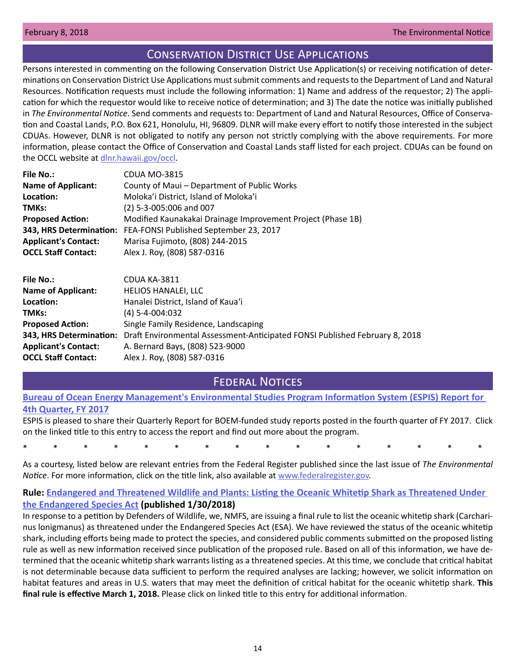# Conservation District Use Applications

<span id="page-13-0"></span>Persons interested in commenting on the following Conservation District Use Application(s) or receiving notification of determinations on Conservation District Use Applications must submit comments and requests to the Department of Land and Natural Resources. Notification requests must include the following information: 1) Name and address of the requestor; 2) The application for which the requestor would like to receive notice of determination; and 3) The date the notice was initially published in *The Environmental Notice*. Send comments and requests to: Department of Land and Natural Resources, Office of Conservation and Coastal Lands, P.O. Box 621, Honolulu, HI, 96809. DLNR will make every effort to notify those interested in the subject CDUAs. However, DLNR is not obligated to notify any person not strictly complying with the above requirements. For more information, please contact the Office of Conservation and Coastal Lands staff listed for each project. CDUAs can be found on the OCCL website at [dlnr.hawaii.gov/occl](http://dlnr.hawaii.gov/occl).

| <b>File No.:</b>            | CDUA MO-3815                                                   |
|-----------------------------|----------------------------------------------------------------|
| <b>Name of Applicant:</b>   | County of Maui - Department of Public Works                    |
| Location:                   | Moloka'i District, Island of Moloka'i                          |
| TMKs:                       | (2) 5-3-005:006 and 007                                        |
| <b>Proposed Action:</b>     | Modified Kaunakakai Drainage Improvement Project (Phase 1B)    |
|                             | 343, HRS Determination: FEA-FONSI Published September 23, 2017 |
| <b>Applicant's Contact:</b> | Marisa Fujimoto, (808) 244-2015                                |
| <b>OCCL Staff Contact:</b>  | Alex J. Roy, (808) 587-0316                                    |
|                             |                                                                |
|                             |                                                                |

| CDUA KA-3811                                                                                           |
|--------------------------------------------------------------------------------------------------------|
| <b>HELIOS HANALEI, LLC</b>                                                                             |
| Hanalei District, Island of Kaua'i                                                                     |
| $(4) 5 - 4 - 004:032$                                                                                  |
| Single Family Residence, Landscaping                                                                   |
| Draft Environmental Assessment-Anticipated FONSI Published February 8, 2018<br>343, HRS Determination: |
| A. Bernard Bays, (808) 523-9000                                                                        |
| Alex J. Roy, (808) 587-0316                                                                            |
|                                                                                                        |

# Federal Notices

## **[Bureau of Ocean Energy Management's Environmental Studies Program Information System \(ESPIS\) Report for](https://www.boem.gov/ESPIS-QTR-4-2017/)  [4th Quarter, FY 2017](https://www.boem.gov/ESPIS-QTR-4-2017/)**

ESPIS is pleased to share their Quarterly Report for BOEM-funded study reports posted in the fourth quarter of FY 2017. Click on the linked title to this entry to access the report and find out more about the program.

\* \* \* \* \* \* \* \* \* \* \* \* \* \* \* \*

As a courtesy, listed below are relevant entries from the Federal Register published since the last issue of *The Environmental Notice*. For more information, click on the title link, also available at [www.federalregister.gov.](http://www.federalregister.gov)

# **Rule: [Endangered and Threatened Wildlife and Plants: Listing the Oceanic Whitetip Shark as Threatened Under](https://www.federalregister.gov/documents/2018/01/30/2018-01682/endangered-and-threatened-wildlife-and-plants-listing-the-oceanic-whitetip-shark-as-threatened-under)  [the Endangered Species Act](https://www.federalregister.gov/documents/2018/01/30/2018-01682/endangered-and-threatened-wildlife-and-plants-listing-the-oceanic-whitetip-shark-as-threatened-under) (published 1/30/2018)**

In response to a petition by Defenders of Wildlife, we, NMFS, are issuing a final rule to list the oceanic whitetip shark (Carcharinus lonigmanus) as threatened under the Endangered Species Act (ESA). We have reviewed the status of the oceanic whitetip shark, including efforts being made to protect the species, and considered public comments submitted on the proposed listing rule as well as new information received since publication of the proposed rule. Based on all of this information, we have determined that the oceanic whitetip shark warrants listing as a threatened species. At this time, we conclude that critical habitat is not determinable because data sufficient to perform the required analyses are lacking; however, we solicit information on habitat features and areas in U.S. waters that may meet the definition of critical habitat for the oceanic whitetip shark. **This final rule is effective March 1, 2018.** Please click on linked title to this entry for additional information.